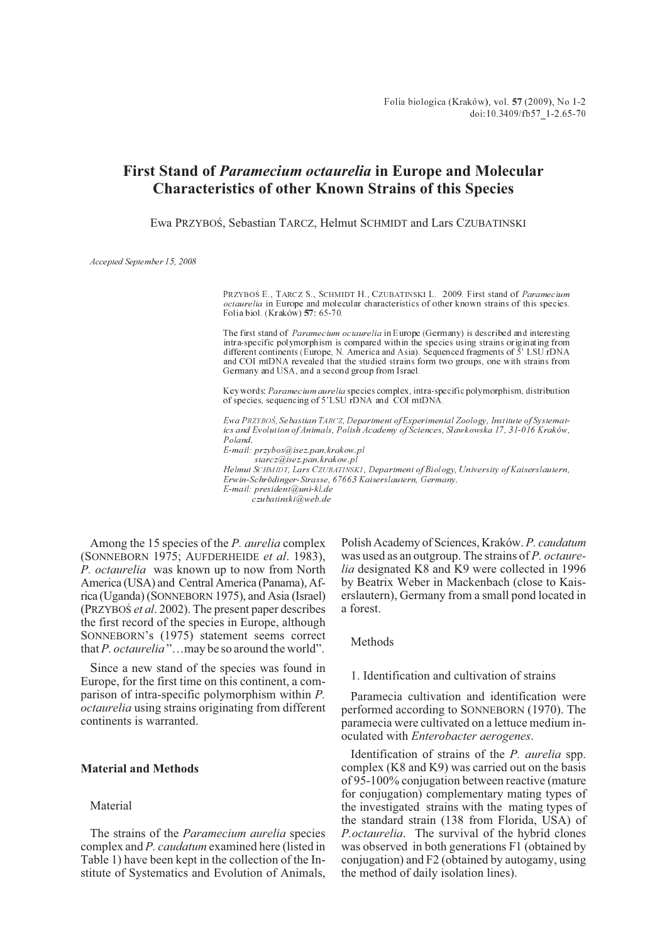# **First Stand of** *Paramecium octaurelia* **in Europe and Molecular Characteristics of other Known Strains of this Species**

Ewa PRZYBOŚ, Sebastian TARCZ, Helmut SCHMIDT and Lars CZUBATINSKI

Accepted September 15, 2008

PRZYBOŚ E., TARCZ S., SCHMIDT H., CZUBATINSKI L. 2009. First stand of Paramecium octaurelia in Europe and molecular characteristics of other known strains of this species. Folia biol. (Kraków) 57: 65-70.

The first stand of *Paramecium octaurelia* in Europe (Germany) is described and interesting intra-specific polymorphism is compared within the species using strains originating from different continents (Europe, N. America and Asia). Sequenced fragments of  $\overline{5}$ , LSU rDNA and COI mtDNA revealed that the studied strains form two groups, one with strains from Germany and USA, and a second group from Israel.

Key words: Paramecium aurelia species complex, intra-specific polymorphism, distribution of species, sequencing of 5LSU rDNA and COI mtDNA.

Ewa PRZYBOŚ, Sebastian TARCZ, Department of Experimental Zoology, Institute of Systematics and Evolution of Animals, Polish Academy of Sciences, Sławkowska 17, 31-016 Kraków, Poland. E-mail: przybos@isez.pan.krakow.pl

starcz@isez.pan.krakow.pl Helmut SCHMIDT, Lars CZUBATINSKI , Department of Biology, University of Kaiserslautern, Erwin-Schrödinger-Strasse, 67663 Kaiserslautern, Germany. E-mail: president@uni-kl.de czubatinski@web.de

Among the 15 species of the *P. aurelia* complex (SONNEBORN 1975; AUFDERHEIDE *et al*. 1983), *P. octaurelia* was known up to now from North America (USA) and Central America (Panama), Africa (Uganda) (SONNEBORN 1975), and Asia (Israel) (PRZYBOŚ *et al.* 2002). The present paper describes the first record of the species in Europe, although SONNEBORN's (1975) statement seems correct that*P. octaurelia* "…may be so around the world".

Since a new stand of the species was found in Europe, for the first time on this continent, a comparison of intra-specific polymorphism within *P. octaurelia* using strains originating from different continents is warranted.

### **Material and Methods**

#### Material

The strains of the *Paramecium aurelia* species complex and *P. caudatum* examined here (listed in Table 1) have been kept in the collection of the Institute of Systematics and Evolution of Animals,

Polish Academy of Sciences, Kraków. *P. caudatum* was used as an outgroup. The strains of *P. octaurelia* designated K8 and K9 were collected in 1996 by Beatrix Weber in Mackenbach (close to Kaiserslautern), Germany from a small pond located in a forest.

Methods

#### 1. Identification and cultivation of strains

Paramecia cultivation and identification were performed according to SONNEBORN (1970). The paramecia were cultivated on a lettuce medium inoculated with *Enterobacter aerogenes*.

Identification of strains of the *P. aurelia* spp. complex (K8 and K9) was carried out on the basis of 95-100% conjugation between reactive (mature for conjugation) complementary mating types of the investigated strains with the mating types of the standard strain (138 from Florida, USA) of *P.octaurelia*. The survival of the hybrid clones was observed in both generations F1 (obtained by conjugation) and F2 (obtained by autogamy, using the method of daily isolation lines).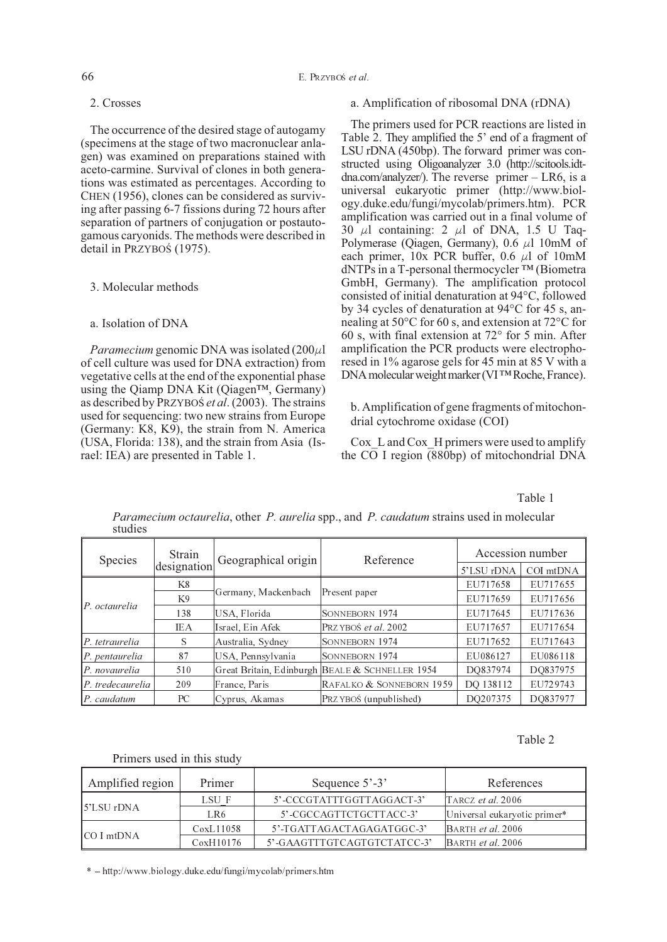#### 66 E. PRZYBO *et al*.

### 2. Crosses

The occurrence of the desired stage of autogamy (specimens at the stage of two macronuclear anlagen) was examined on preparations stained with aceto-carmine. Survival of clones in both generations was estimated as percentages. According to CHEN (1956), clones can be considered as surviving after passing 6-7 fissions during 72 hours after separation of partners of conjugation or postautogamous caryonids. The methods were described in detail in PRZYBOŚ (1975).

### 3. Molecular methods

## a. Isolation of DNA

*Paramecium* genomic DNA was isolated  $(200\mu)$ of cell culture was used for DNA extraction) from vegetative cells at the end of the exponential phase using the Qiamp DNA Kit (Qiagen™, Germany) as described by PRZYBOS *et al.* (2003). The strains used for sequencing: two new strains from Europe (Germany: K8, K9), the strain from N. America (USA, Florida: 138), and the strain from Asia (Israel: IEA) are presented in Table 1.

### a. Amplification of ribosomal DNA (rDNA)

The primers used for PCR reactions are listed in Table 2. They amplified the 5' end of a fragment of LSU rDNA (450bp). The forward primer was constructed using Oligoanalyzer 3.0 (http://scitools.idtdna.com/analyzer/). The reverse primer – LR6, is a universal eukaryotic primer (http://www.biology.duke.edu/fungi/mycolab/primers.htm). PCR amplification was carried out in a final volume of  $30 \mu l$  containing: 2  $\mu l$  of DNA, 1.5 U Taq-Polymerase (Qiagen, Germany),  $0.6 \mu$ l 10mM of each primer,  $10x$  PCR buffer, 0.6  $\mu$ l of 10mM dNTPs in a T-personal thermocycler ™ (Biometra GmbH, Germany). The amplification protocol consisted of initial denaturation at 94°C, followed by 34 cycles of denaturation at 94°C for 45 s, annealing at 50°C for 60 s, and extension at 72°C for 60 s, with final extension at 72° for 5 min. After amplification the PCR products were electrophoresed in 1% agarose gels for 45 min at 85 V with a DNAmolecularweightmarker(VI™Roche, France).

b. Amplification of gene fragments of mitochondrial cytochrome oxidase (COI)

Cox L and Cox H primers were used to amplify the  $\overline{CO}$  I region (880bp) of mitochondrial DNA

Table 1

| Species                 | Strain      | Geographical origin | Reference                                       | Accession number |           |  |
|-------------------------|-------------|---------------------|-------------------------------------------------|------------------|-----------|--|
|                         | designation |                     |                                                 | 5'LSU rDNA       | COI mtDNA |  |
|                         | K8          |                     |                                                 | EU717658         | EU717655  |  |
| $\mathbb{P}$ octaurelia | K9          | Germany, Mackenbach | Present paper                                   | EU717659         | EU717656  |  |
|                         | 138         | USA, Florida        | SONNEBORN 1974                                  | EU717645         | EU717636  |  |
|                         | <b>IEA</b>  | Israel, Ein Afek    | PRZYBOŚ et al. 2002                             | EU717657         | EU717654  |  |
| $\ P_t\ $ tetraurelia   | S           | Australia, Sydney   | SONNEBORN 1974                                  | EU717652         | EU717643  |  |
| $\ P\ $ pentaurelia     | 87          | USA, Pennsylvania   | SONNEBORN 1974                                  | EU086127         | EU086118  |  |
| $\ P\ $ novaurelia      | 510         |                     | Great Britain, Edinburgh BEALE & SCHNELLER 1954 | DO837974         | DO837975  |  |
| $\ P\ $ tredecaurelia   | 209         | France, Paris       | RAFALKO & SONNEBORN 1959                        | DQ 138112        | EU729743  |  |
| $\ P.\;caudatum\ $      | PC.         | Cyprus, Akamas      | PRZYBOŚ (unpublished)                           | DQ207375         | DO837977  |  |

*Paramecium octaurelia*, other *P. aurelia* spp., and *P. caudatum* strains used in molecular studies

#### Table 2

#### Primers used in this study

| Amplified region       | Primer    | Sequence $5'$ -3'           | References                   |
|------------------------|-----------|-----------------------------|------------------------------|
| $\parallel$ 5'LSU rDNA | LSU F     | 5'-CCCGTATTTGGTTAGGACT-3'   | TARCZ et al. 2006            |
|                        | LR6       | 5'-CGCCAGTTCTGCTTACC-3'     | Universal eukaryotic primer* |
| $ CO $ mtDNA           | CoxL11058 | 5' TGATTAGACTAGAGATGGC-3'   | BARTH et al. 2006            |
|                        | CoxH10176 | 5'-GAAGTTTGTCAGTGTCTATCC-3' | BARTH <i>et al.</i> 2006     |

\* http://www.biology.duke.edu/fungi/mycolab/primers.htm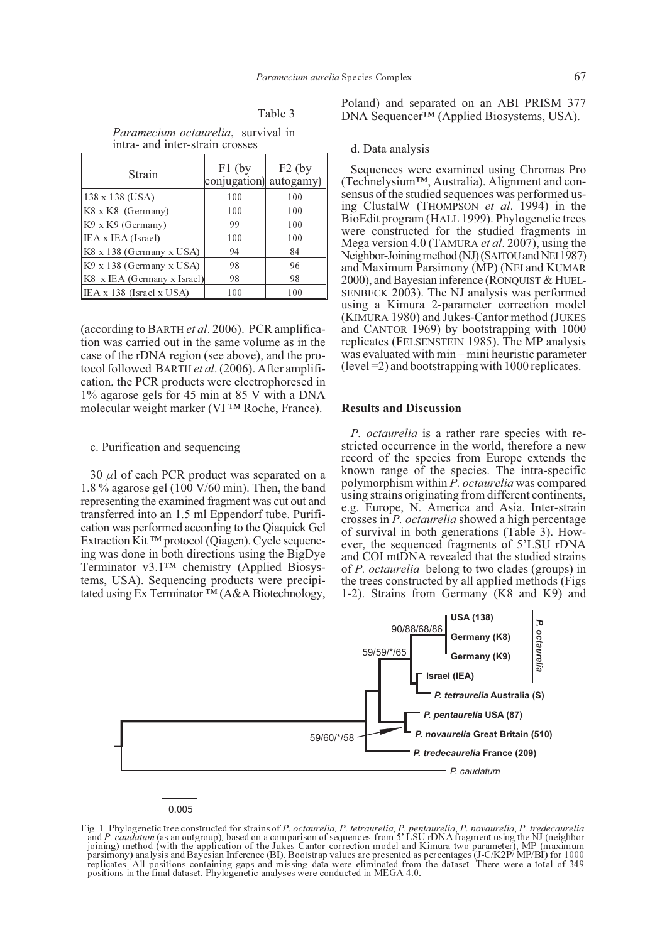|--|--|

*Paramecium octaurelia*, survival in intra- and inter-strain crosses

| Strain                              | $F1$ (by<br>conjugation) | $F2$ (by<br>autogamy) |  |  |
|-------------------------------------|--------------------------|-----------------------|--|--|
| 138 x 138 (USA)                     | 100                      | 100                   |  |  |
| K8 x K8 (Germany)                   | 100                      | 100                   |  |  |
| $K9$ x K9 (Germany)                 | 99                       | 100                   |  |  |
| IEA x IEA (Israel)                  | 100                      | 100                   |  |  |
| K8 x 138 (Germany x USA)            | 94                       | 84                    |  |  |
| K9 x 138 (Germany x USA)            | 98                       | 96                    |  |  |
| $ K8 \times$ IEA (Germany x Israel) | 98                       | 98                    |  |  |
| IEA x 138 (Israel x USA)            | 100                      | 100                   |  |  |

(according to BARTH *et al*. 2006). PCR amplification was carried out in the same volume as in the case of the rDNA region (see above), and the protocol followed BARTH *et al*. (2006). After amplification, the PCR products were electrophoresed in 1% agarose gels for 45 min at 85 V with a DNA molecular weight marker (VI ™ Roche, France).

#### c. Purification and sequencing

30  $\mu$ l of each PCR product was separated on a 1.8 % agarose gel (100 V/60 min). Then, the band representing the examined fragment was cut out and transferred into an 1.5 ml Eppendorf tube. Purification was performed according to the Qiaquick Gel Extraction Kit ™ protocol (Qiagen). Cycle sequencing was done in both directions using the BigDye Terminator v3.1™ chemistry (Applied Biosystems, USA). Sequencing products were precipitated using Ex Terminator <sup>™</sup> (A&A Biotechnology, Poland) and separated on an ABI PRISM 377 DNA Sequencer™ (Applied Biosystems, USA).

#### d. Data analysis

Sequences were examined using Chromas Pro (Technelysium™, Australia). Alignment and consensus of the studied sequences was performed using ClustalW (THOMPSON *et al*. 1994) in the BioEdit program (HALL 1999). Phylogenetic trees were constructed for the studied fragments in Mega version 4.0 (TAMURA *et al*. 2007), using the Neighbor-Joining method (NJ) (SAITOU and NEI 1987) and Maximum Parsimony (MP) (NEI and KUMAR 2000), and Bayesian inference (RONQUIST & HUEL-SENBECK 2003). The NJ analysis was performed using a Kimura 2-parameter correction model (KIMURA 1980) and Jukes-Cantor method (JUKES and CANTOR 1969) by bootstrapping with 1000 replicates (FELSENSTEIN 1985). The MP analysis was evaluated with min – mini heuristic parameter  $(level = 2)$  and bootstrapping with 1000 replicates.

#### **Results and Discussion**

*P. octaurelia* is a rather rare species with restricted occurrence in the world, therefore a new record of the species from Europe extends the known range of the species. The intra-specific polymorphism within *P. octaurelia* was compared using strains originating from different continents, e.g. Europe, N. America and Asia. Inter-strain crosses in *P. octaurelia* showed a high percentage of survival in both generations (Table 3). However, the sequenced fragments of 5'LSU rDNA and COI mtDNA revealed that the studied strains of *P. octaurelia* belong to two clades (groups) in the trees constructed by all applied methods (Figs 1-2). Strains from Germany (K8 and K9) and



# 0.005

Fig. 1. Phylogenetic tree constructed for strains of *P. octaurelia, P. tetraurelia, P. pentaurelia, P. novaurelia, P. tredecaurelia* and *P. caudatum* (as an outgroup), based on a comparison of sequences from 5' LSU rDNA joining) method (with the application of the Jukes-Cantor correction model and Kimura two-parameter), MP (maximum parsimony) analysis and Bayesian Inference (BI). Bootstrap values are presented as percentages (J-C/K2P/MP/BI) for 1000<br>replicates. All positions containing gaps and missing data were eliminated from the dataset. There wer purismilonity and the final dataset. But all positions containing gaps and missing data were eliminated from positions in the final dataset. Phylogenetic analyses were conducted in MEGA 4.0.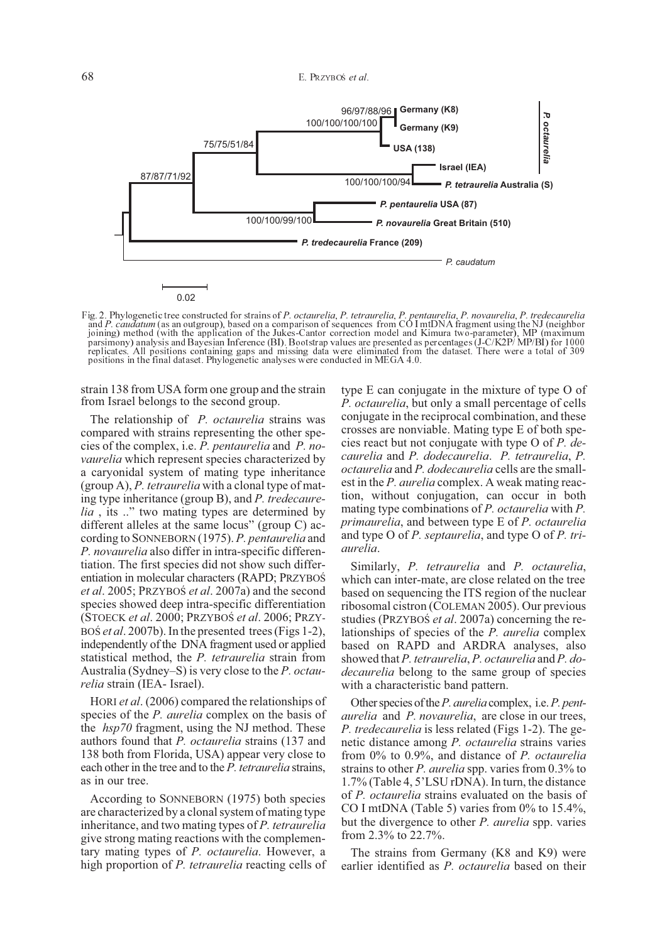

Fig. 2. Phylogenetic tree constructed for strains of *P. octaurelia*, *P. tetraurelia*, *P. pentaurelia*, *P. novaurelia*, *P. tredecaurelia* and P. caudatum (as an outgroup), based on a comparison of sequences from CO I mtDNA fragment using the NJ (neighbor<br>joining) method (with the application of the Jukes-Cantor correction model and Kimura two-parameter), MP parsimony) analysis and Bayesian Inference (BI). Bootstrap values are presented as percentages (J-C/K2P/ MP/BI) for 1000 replicates. All positions containing gaps and missing data were eliminated from the dataset. There were a total of 309 replicates. All positions containing gaps and missing data were eliminated from<br>positions in the final dataset. Phylogenetic analyses were conducted in MEGA 4.0.

strain 138 from USA form one group and the strain from Israel belongs to the second group.

The relationship of *P. octaurelia* strains was compared with strains representing the other species of the complex, i.e. *P. pentaurelia* and *P. novaurelia* which represent species characterized by a caryonidal system of mating type inheritance (group A), *P. tetraurelia* with a clonal type of mating type inheritance (group B), and *P. tredecaurelia*, its ..." two mating types are determined by different alleles at the same locus" (group C) according to SONNEBORN (1975). *P. pentaurelia* and *P. novaurelia* also differ in intra-specific differentiation. The first species did not show such differentiation in molecular characters (RAPD; PRZYBOŚ *et al.* 2005; PRZYBOŚ *et al.* 2007a) and the second species showed deep intra-specific differentiation (STOECK *et al.* 2000; PRZYBOŚ *et al.* 2006; PRZY-BOS *et al.* 2007b). In the presented trees (Figs 1-2), independently of the DNA fragment used or applied statistical method, the *P. tetraurelia* strain from Australia (Sydney–S) is very close to the *P. octaurelia* strain (IEA- Israel).

HORI *et al*. (2006) compared the relationships of species of the *P. aurelia* complex on the basis of the *hsp70* fragment, using the NJ method. These authors found that *P. octaurelia* strains (137 and 138 both from Florida, USA) appear very close to each other in the tree and to the *P. tetraurelia* strains, as in our tree.

According to SONNEBORN (1975) both species are characterized by a clonal system of mating type inheritance, and two mating types of *P. tetraurelia* give strong mating reactions with the complementary mating types of *P. octaurelia*. However, a high proportion of *P. tetraurelia* reacting cells of type E can conjugate in the mixture of type O of *P. octaurelia*, but only a small percentage of cells conjugate in the reciprocal combination, and these crosses are nonviable. Mating type E of both species react but not conjugate with type O of *P. decaurelia* and *P. dodecaurelia*. *P. tetraurelia*, *P. octaurelia* and *P. dodecaurelia* cells are the smallest in the *P. aurelia* complex. A weak mating reaction, without conjugation, can occur in both mating type combinations of *P. octaurelia* with *P. primaurelia*, and between type E of *P. octaurelia* and type O of *P. septaurelia*, and type O of *P. triaurelia*.

Similarly, *P. tetraurelia* and *P. octaurelia*, which can inter-mate, are close related on the tree based on sequencing the ITS region of the nuclear ribosomal cistron (COLEMAN 2005). Our previous studies (PRZYBOŚ *et al.* 2007a) concerning the relationships of species of the *P. aurelia* complex based on RAPD and ARDRA analyses, also showed that *P. tetraurelia*, *P. octaurelia* and *P. dodecaurelia* belong to the same group of species with a characteristic band pattern.

Other species of the*P. aurelia* complex, i.e.*P. pentaurelia* and *P. novaurelia*, are close in our trees, *P. tredecaurelia* is less related (Figs 1-2). The genetic distance among *P. octaurelia* strains varies from 0% to 0.9%, and distance of *P. octaurelia* strains to other *P. aurelia* spp. varies from 0.3% to 1.7% (Table 4, 5'LSU rDNA). In turn, the distance of *P. octaurelia* strains evaluated on the basis of CO I mtDNA (Table 5) varies from 0% to 15.4%, but the divergence to other *P. aurelia* spp. varies from 2.3% to 22.7%.

The strains from Germany (K8 and K9) were earlier identified as *P. octaurelia* based on their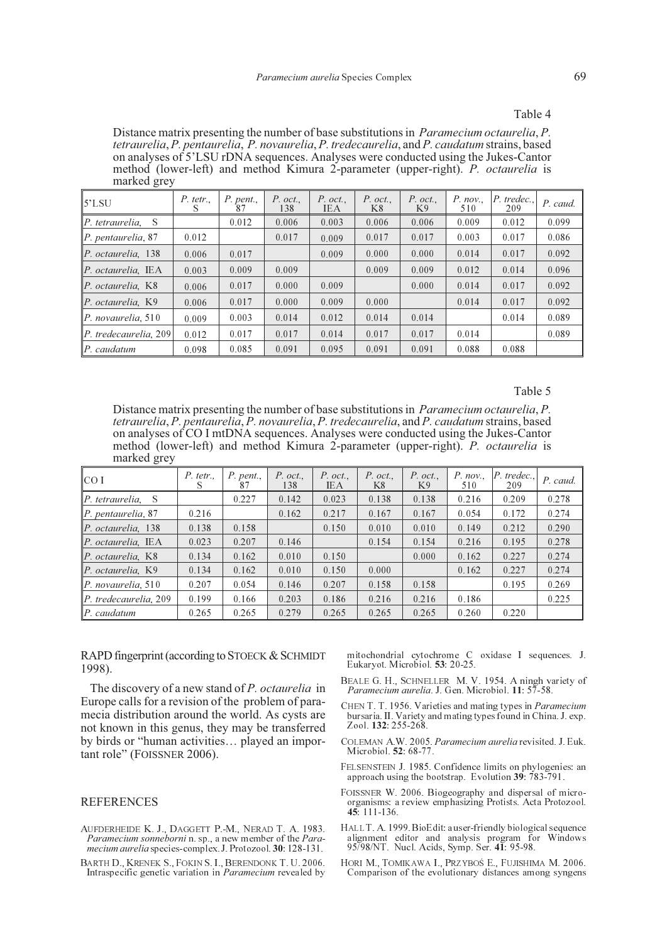#### Table 4

Distance matrix presenting the number of base substitutions in *Paramecium octaurelia*, *P. tetraurelia*, *P. pentaurelia*, *P. novaurelia*, *P. tredecaurelia*, and *P. caudatum* strains, based on analyses of 5'LSU rDNA sequences. Analyses were conducted using the Jukes-Cantor method (lower-left) and method Kimura 2-parameter (upper-right). *P. octaurelia* is marked grey

| 5'LSU                                      | P. tetr.<br>S | $P.$ pent.,<br>87 | $P.$ oct.<br>138 | $P.$ oct.<br>IEA | $P.$ oct.,<br>K8 | $P.$ oct.<br>K9 | P. nov.<br>510 | P. tredec.,<br>209 | P. caud. |
|--------------------------------------------|---------------|-------------------|------------------|------------------|------------------|-----------------|----------------|--------------------|----------|
| $\ P_t\ $ tetraurelia.<br><sup>S</sup>     |               | 0.012             | 0.006            | 0.003            | 0.006            | 0.006           | 0.009          | 0.012              | 0.099    |
| $\vert P.$ pentaurelia, 87                 | 0.012         |                   | 0.017            | 0.009            | 0.017            | 0.017           | 0.003          | 0.017              | 0.086    |
| $ P.$ octaurelia, 138                      | 0.006         | 0.017             |                  | 0.009            | 0.000            | 0.000           | 0.014          | 0.017              | 0.092    |
| $ P.$ octaurelia, IEA                      | 0.003         | 0.009             | 0.009            |                  | 0.009            | 0.009           | 0.012          | 0.014              | 0.096    |
| $ P.$ octaurelia, K8                       | 0.006         | 0.017             | 0.000            | 0.009            |                  | 0.000           | 0.014          | 0.017              | 0.092    |
| $ P.$ octaurelia, K9                       | 0.006         | 0.017             | 0.000            | 0.009            | 0.000            |                 | 0.014          | 0.017              | 0.092    |
| $\vert P.$ novaurelia, 510                 | 0.009         | 0.003             | 0.014            | 0.012            | 0.014            | 0.014           |                | 0.014              | 0.089    |
| $\vert P. \t{tredecaurelia}$ , 209 $\vert$ | 0.012         | 0.017             | 0.017            | 0.014            | 0.017            | 0.017           | 0.014          |                    | 0.089    |
| $\ P.\;caudatum\ $                         | 0.098         | 0.085             | 0.091            | 0.095            | 0.091            | 0.091           | 0.088          | 0.088              |          |

#### Table 5

Distance matrix presenting the number of base substitutions in *Paramecium octaurelia*, *P. tetraurelia*, *P. pentaurelia*, *P. novaurelia*, *P. tredecaurelia*, and *P. caudatum* strains, based on analyses of CO I mtDNA sequences. Analyses were conducted using the Jukes-Cantor method (lower-left) and method Kimura 2-parameter (upper-right). *P. octaurelia* is marked grey

| I CO I                | $P.$ tetr., | $P.$ pent.,<br>87 | $P.$ oct.,<br>138 | $P.$ oct.,<br><b>IEA</b> | $P.$ oct.<br>K8 | $P.$ oct.,<br>K9 | P. nov.<br>510 | P. tredec.,<br>209 | P. caud. |
|-----------------------|-------------|-------------------|-------------------|--------------------------|-----------------|------------------|----------------|--------------------|----------|
| P. tetraurelia. S     |             | 0.227             | 0.142             | 0.023                    | 0.138           | 0.138            | 0.216          | 0.209              | 0.278    |
| P. pentaurelia, 87    | 0.216       |                   | 0.162             | 0.217                    | 0.167           | 0.167            | 0.054          | 0.172              | 0.274    |
| P. octaurelia, 138    | 0.138       | 0.158             |                   | 0.150                    | 0.010           | 0.010            | 0.149          | 0.212              | 0.290    |
| P. octaurelia, IEA    | 0.023       | 0.207             | 0.146             |                          | 0.154           | 0.154            | 0.216          | 0.195              | 0.278    |
| $ P.$ octaurelia, K8  | 0.134       | 0.162             | 0.010             | 0.150                    |                 | 0.000            | 0.162          | 0.227              | 0.274    |
| $ P$ . octaurelia. K9 | 0.134       | 0.162             | 0.010             | 0.150                    | 0.000           |                  | 0.162          | 0.227              | 0.274    |
| P. novaurelia, 510    | 0.207       | 0.054             | 0.146             | 0.207                    | 0.158           | 0.158            |                | 0.195              | 0.269    |
| P. tredecaurelia, 209 | 0.199       | 0.166             | 0.203             | 0.186                    | 0.216           | 0.216            | 0.186          |                    | 0.225    |
| $ P$ . caudatum       | 0.265       | 0.265             | 0.279             | 0.265                    | 0.265           | 0.265            | 0.260          | 0.220              |          |

RAPD fingerprint (according to STOECK & SCHMIDT 1998).

The discovery of a new stand of *P. octaurelia* in Europe calls for a revision of the problem of paramecia distribution around the world. As cysts are not known in this genus, they may be transferred by birds or "human activities… played an important role" (FOISSNER 2006).

### REFERENCES

- AUFDERHEIDE K. J., DAGGETT P.-M., NERAD T. A. 1983. *Paramecium sonneborni* n. sp., a new member of the *Paramecium aurelia* species-complex. J. Protozool. **30**: 128-131.
- BARTH D., KRENEK S., FOKIN S. I., BERENDONK T. U. 2006. Intraspecific genetic variation in *Paramecium* revealed by

mitochondrial cytochrome C oxidase I sequences. J. Eukaryot. Microbiol. **53**: 20-25.

- BEALE G. H., SCHNELLER M. V. 1954. A ningh variety of *Paramecium aurelia*. J. Gen. Microbiol. **11**: 57-58.
- CHEN T. T. 1956. Varieties and mating types in *Paramecium* bursaria. II. Variety and mating types found in China. J. exp. Zool. **132**: 255-268.
- COLEMAN A.W. 2005. *Paramecium aurelia* revisited. J. Euk. Microbiol. **52**: 68-77.
- FELSENSTEIN J. 1985. Confidence limits on phylogenies: an approach using the bootstrap. Evolution **39**: 783-791.
- FOISSNER W. 2006. Biogeography and dispersal of micro-organisms: a review emphasizing Protists. Acta Protozool. **45**: 111-136.
- HALL T. A. 1999. BioEdit: a user-friendly biological sequence alignment editor and analysis program for Windows 95/98/NT. Nucl. Acids, Symp. Ser. **41**: 95-98.
- HORI M., TOMIKAWA I., PRZYBOŚ E., FUJISHIMA M. 2006. Comparison of the evolutionary distances among syngens